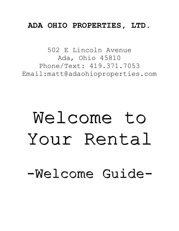# **ADA OHIO PROPERTIES, LTD.**

502 E Lincoln Avenue Ada, Ohio 45810 Phone/Text: 419.371.7053 Email:matt@adaohioproperties.com

# Welcome to Your Rental

-Welcome Guide-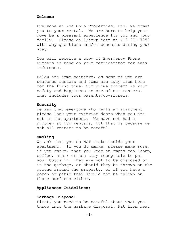#### **Welcome**

Everyone at Ada Ohio Properties, Ltd. welcomes you to your rental. We are here to help your move be a pleasant experience for you and your family. Please call/text Matt at 419-371-7059 with any questions and/or concerns during your stay.

You will receive a copy of Emergency Phone Numbers to hang on your refrigerator for easy reference.

Below are some pointers, as some of you are seasoned renters and some are away from home for the first time. Our prime concern is your safety and happiness as one of our renters. That includes your parents/co-signers.

#### **Security**

We ask that everyone who rents an apartment please lock your exterior doors when you are not in the apartment. We have not had a problem at our rentals, but that is because we ask all renters to be careful.

#### **Smoking**

We ask that you do NOT smoke inside your apartment. If you do smoke, please make sure, if you smoke, that you keep an empty can (soup, coffee, etc.) or ash tray receptacle to put your butts in. They are not to be disposed of in the garbage, or should they be thrown on the ground around the property, or if you have a porch or patio they should not be thrown on those surfaces either.

# **Appliances Guidelines:**

#### **Garbage Disposal**

First, you need to be careful about what you throw into the garbage disposal. Fat from meat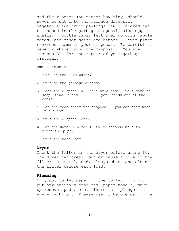and their bones (no matter how tiny) should never be put into the garbage disposal. Vegetable and fruit peelings raw or cooked can be tossed in the garbage disposal, also egg shells. Bottle caps, left over popcorn, apple seeds, and other seeds are banned. Never place non-food items in your disposal. Be careful of jewelry while using the disposal. You are responsible for the repair of your garbage disposal.

#### Use Instructions

- 1. Turn on the cold water.
- 2. Turn on the garbage disposal.
- 3. Feed the disposal a little at a time. Take care to keep utensils and your hands out of the drain.
- 4. Let the food clear the disposal you can hear when it's clear.
- 5. Turn the disposal off.
- 6. Let the water run for 15 to 30 seconds more to flush the pipe.
- 7. Turn the water off.

#### **Dryer**

Check the filter in the dryer before using it. The dryer can break down or cause a fire if the filter is over-loaded. Always check and clean the filter before each load.

### **Plumbing**

Only put toilet paper in the toilet. Do not put any sanitary products, paper towels, makeup remover pads, etc. There is a plunger in every bathroom. Please use it before calling a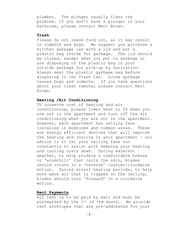plumber. The plunger usually fixes the problem. If you don't have a plunger in your bathroom, please contact Matt Brown.

# **Trash**

Please do not leave food out, as it may result in rodents and bugs. We suggest you purchase a kitchen garbage can with a lid and put a plastic bag inside for garbage. The lid should be closed, except when you put in garbage or are disposing of the plastic bag in your outside garbage for pick-up by Sanitation. Always seal the plastic garbage bag before disposing in the Trash Can. Loose garbage causes bugs and rodents. If you have questions about your trash removal please contact Matt Brown.

# **Heating /Air Conditioning**

To conserve cost of heating and air conditioning, please lower heat to 55 when you are not in the apartment and turn off the air conditioning when you are not in the apartment. However, each apartment has ceiling fans installed in bedrooms and common areas. These are energy efficient devices that will improve the heating and cooling in your apartment – our advice is to let your ceiling fans run constantly to assist with keeping your heating and cooling costs down. During warm/hot weather, to help produce a comfortable breeze or 'windchill' that cools the skin, blades should rotate in a 'reverse' counter-clockwise motion. During winter heating periods, to help move warm air that is trapped on the ceiling, blades should turn 'forward' in a clockwise motion.

# **Rent Payments**

All rent is to be paid by mail and must be postmarked by the 1st of the month. We provide rent envelopes that are pre-addressed for your